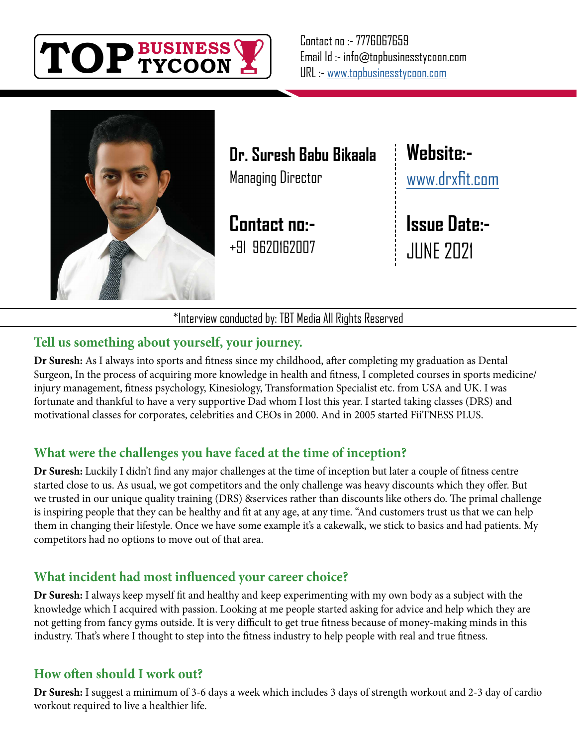



**Dr. Suresh Babu Bikaala** Managing Director

**Contact no:-** +91 9620162007 **Website:** [www.drxfit.com](http://www.drxfit.com)

**Issue Date:-** JUNE 2021

\*Interview conducted by: TBT Media All Rights Reserved

### **Tell us something about yourself, your journey.**

**Dr Suresh:** As I always into sports and fitness since my childhood, after completing my graduation as Dental Surgeon, In the process of acquiring more knowledge in health and fitness, I completed courses in sports medicine/ injury management, fitness psychology, Kinesiology, Transformation Specialist etc. from USA and UK. I was fortunate and thankful to have a very supportive Dad whom I lost this year. I started taking classes (DRS) and motivational classes for corporates, celebrities and CEOs in 2000. And in 2005 started FiiTNESS PLUS.

# **What were the challenges you have faced at the time of inception?**

**Dr Suresh:** Luckily I didn't find any major challenges at the time of inception but later a couple of fitness centre started close to us. As usual, we got competitors and the only challenge was heavy discounts which they offer. But we trusted in our unique quality training (DRS) &services rather than discounts like others do. The primal challenge is inspiring people that they can be healthy and fit at any age, at any time. "And customers trust us that we can help them in changing their lifestyle. Once we have some example it's a cakewalk, we stick to basics and had patients. My competitors had no options to move out of that area.

# **What incident had most influenced your career choice?**

**Dr Suresh:** I always keep myself fit and healthy and keep experimenting with my own body as a subject with the knowledge which I acquired with passion. Looking at me people started asking for advice and help which they are not getting from fancy gyms outside. It is very difficult to get true fitness because of money-making minds in this industry. That's where I thought to step into the fitness industry to help people with real and true fitness.

# **How often should I work out?**

**Dr Suresh:** I suggest a minimum of 3-6 days a week which includes 3 days of strength workout and 2-3 day of cardio workout required to live a healthier life.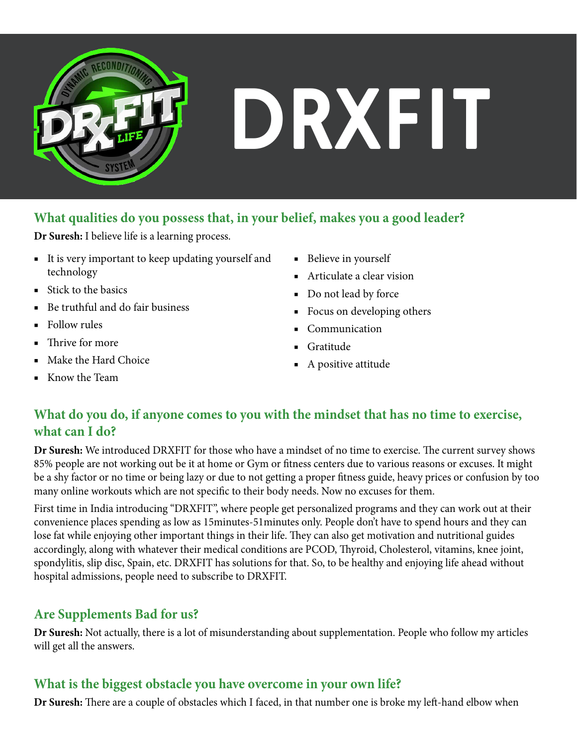

# **DRXFIT**

### **What qualities do you possess that, in your belief, makes you a good leader?**

**Dr Suresh:** I believe life is a learning process.

- It is very important to keep updating yourself and technology
- Stick to the basics
- Be truthful and do fair business
- Follow rules
- Thrive for more
- Make the Hard Choice
- Know the Team
- Believe in yourself
- Articulate a clear vision
- Do not lead by force
- Focus on developing others
- Communication
- Gratitude
- A positive attitude

### **What do you do, if anyone comes to you with the mindset that has no time to exercise, what can I do?**

**Dr Suresh:** We introduced DRXFIT for those who have a mindset of no time to exercise. The current survey shows 85% people are not working out be it at home or Gym or fitness centers due to various reasons or excuses. It might be a shy factor or no time or being lazy or due to not getting a proper fitness guide, heavy prices or confusion by too many online workouts which are not specific to their body needs. Now no excuses for them.

First time in India introducing "DRXFIT", where people get personalized programs and they can work out at their convenience places spending as low as 15minutes-51minutes only. People don't have to spend hours and they can lose fat while enjoying other important things in their life. They can also get motivation and nutritional guides accordingly, along with whatever their medical conditions are PCOD, Thyroid, Cholesterol, vitamins, knee joint, spondylitis, slip disc, Spain, etc. DRXFIT has solutions for that. So, to be healthy and enjoying life ahead without hospital admissions, people need to subscribe to DRXFIT.

# **Are Supplements Bad for us?**

**Dr Suresh:** Not actually, there is a lot of misunderstanding about supplementation. People who follow my articles will get all the answers.

# **What is the biggest obstacle you have overcome in your own life?**

**Dr Suresh:** There are a couple of obstacles which I faced, in that number one is broke my left-hand elbow when